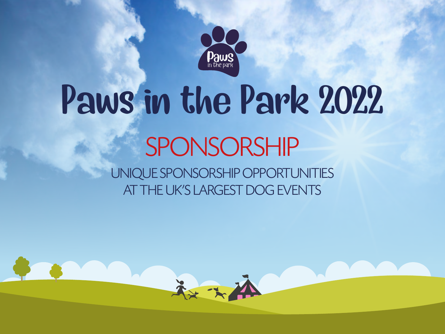

# Paws in the Park 2022 SPONSORSHIP UNIQUE SPONSORSHIP OPPORTUNITIES AT THE UK'S LARGEST DOG EVENTS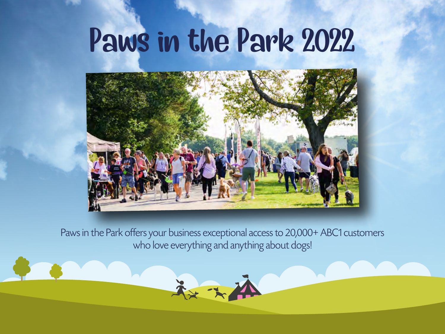# Paws in the Park 2022



Paws in the Park offers your business exceptional access to 20,000+ ABC1 customers who love everything and anything about dogs!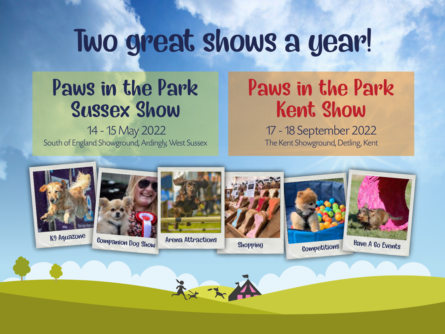# Two great shows a year!

## Paws in the Park Sussex Show

 14 - 15 May 2022 South of England Showground, Ardingly, West Sussex

## Paws in the Park Kent Show

17 - 18 September 2022 The Kent Showground, Detling, Kent





K9 Aquazone Companion Dog Show Arena Attractions Shopping









Competitions Have A Go Events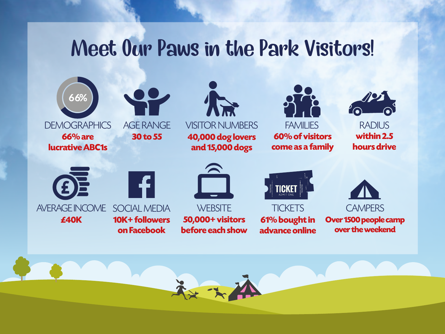### Meet Our Paws in the Park Visitors!









RADIUS **within 2.5 hours drive**



**£40K**

 $\vert f \vert$ 

**10K+ followers on Facebook**



**WEBSITE 50,000+ visitors before each show** **TICKET** 

**TICKETS 61% bought in advance online**



**CAMPERS Over 1500 people camp over the weekend**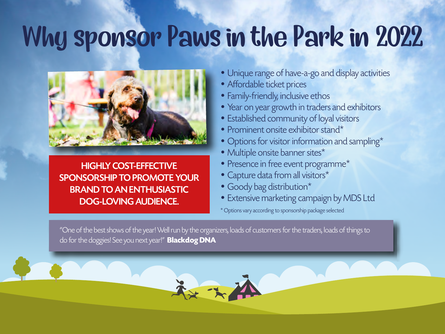## Why sponsor Paws in the Park in 2022



HIGHLY COST-EFFECTIVE SPONSORSHIP TO PROMOTE YOUR BRAND TO AN ENTHUSIASTIC DOG-LOVING AUDIENCE.

- Unique range of have-a-go and display activities
- Affordable ticket prices
- Family-friendly, inclusive ethos
- Year on year growth in traders and exhibitors
- Established community of loyal visitors
- Prominent onsite exhibitor stand\*
- Options for visitor information and sampling\*
- Multiple onsite banner sites\*
- Presence in free event programme\*
- Capture data from all visitors\*
- Goody bag distribution\*
- Extensive marketing campaign by MDS Ltd

\* Options vary according to sponsorship package selected

"One of the best shows of the year! Well run by the organizers, loads of customers for the traders, loads of things to do for the doggies! See you next year!" **Blackdog DNA**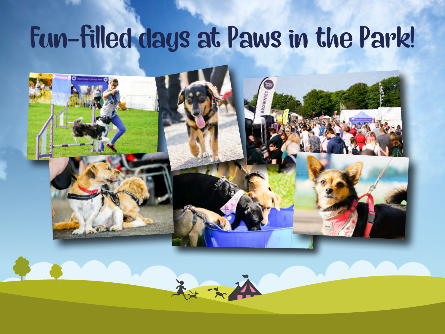# Fun-filled days at Paws in the Park!

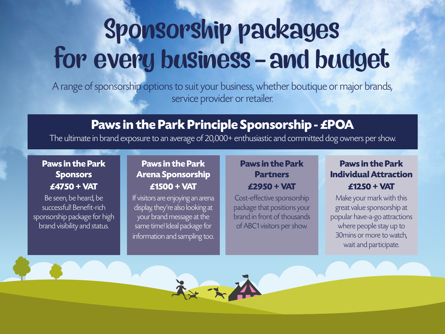# Sponsorship packages for every business - and budget

A range of sponsorship options to suit your business, whether boutique or major brands, service provider or retailer.

### **Paws in the Park Principle Sponsorship - £POA**

The ultimate in brand exposure to an average of 20,000+ enthusiastic and committed dog owners per show.

### **Paws in the Park Sponsors £4750 + VAT**

Be seen, be heard, be successful! Benefit-rich sponsorship package for high brand visibility and status.

### **Paws in the Park Arena Sponsorship £1500 + VAT**

If visitors are enjoying an arena display, they're also looking at your brand message at the same time! Ideal package for information and sampling too.

### **Paws in the Park Partners**

#### **£2950 + VAT**

Cost-effective sponsorship package that positions your brand in front of thousands of ABC1 visitors per show.

### **Paws in the Park Individual Attraction £1250 + VAT**

Make your mark with this great value sponsorship at popular have-a-go attractions where people stay up to 30mins or more to watch, wait and participate.